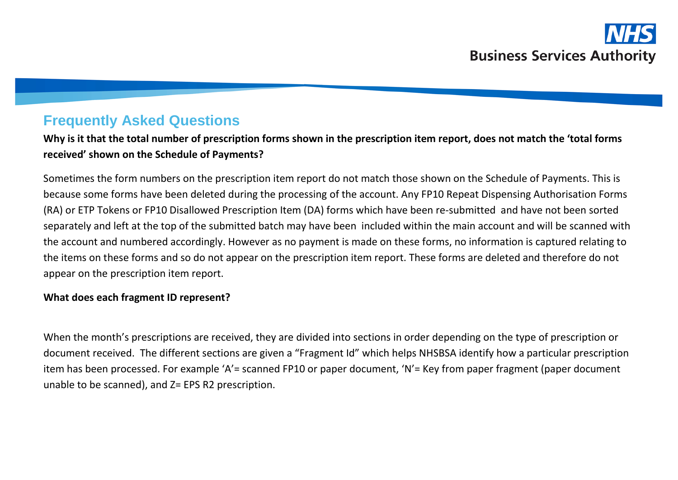# **Frequently Asked Questions**

**Why is it that the total number of prescription forms shown in the prescription item report, does not match the 'total forms received' shown on the Schedule of Payments?**

Sometimes the form numbers on the prescription item report do not match those shown on the Schedule of Payments. This is because some forms have been deleted during the processing of the account. Any FP10 Repeat Dispensing Authorisation Forms (RA) or ETP Tokens or FP10 Disallowed Prescription Item (DA) forms which have been re-submitted and have not been sorted separately and left at the top of the submitted batch may have been included within the main account and will be scanned with the account and numbered accordingly. However as no payment is made on these forms, no information is captured relating to the items on these forms and so do not appear on the prescription item report. These forms are deleted and therefore do not appear on the prescription item report.

#### **What does each fragment ID represent?**

When the month's prescriptions are received, they are divided into sections in order depending on the type of prescription or document received. The different sections are given a "Fragment Id" which helps NHSBSA identify how a particular prescription item has been processed. For example 'A'= scanned FP10 or paper document, 'N'= Key from paper fragment (paper document unable to be scanned), and Z= EPS R2 prescription.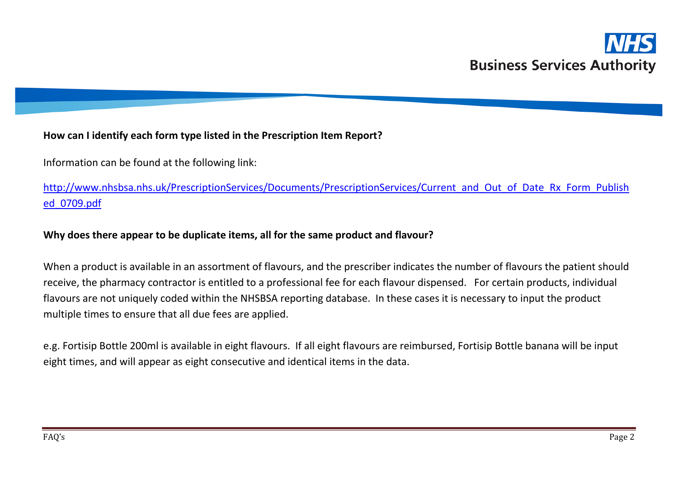## **How can I identify each form type listed in the Prescription Item Report?**

Information can be found at the following link:

[http://www.nhsbsa.nhs.uk/PrescriptionServices/Documents/PrescriptionServices/Current\\_and\\_Out\\_of\\_Date\\_Rx\\_Form\\_Publish](http://www.nhsbsa.nhs.uk/PrescriptionServices/Documents/PrescriptionServices/Current_and_Out_of_Date_Rx_Form_Published_0709.pdf) [ed\\_0709.pdf](http://www.nhsbsa.nhs.uk/PrescriptionServices/Documents/PrescriptionServices/Current_and_Out_of_Date_Rx_Form_Published_0709.pdf)

#### **Why does there appear to be duplicate items, all for the same product and flavour?**

When a product is available in an assortment of flavours, and the prescriber indicates the number of flavours the patient should receive, the pharmacy contractor is entitled to a professional fee for each flavour dispensed. For certain products, individual flavours are not uniquely coded within the NHSBSA reporting database. In these cases it is necessary to input the product multiple times to ensure that all due fees are applied.

e.g. Fortisip Bottle 200ml is available in eight flavours. If all eight flavours are reimbursed, Fortisip Bottle banana will be input eight times, and will appear as eight consecutive and identical items in the data.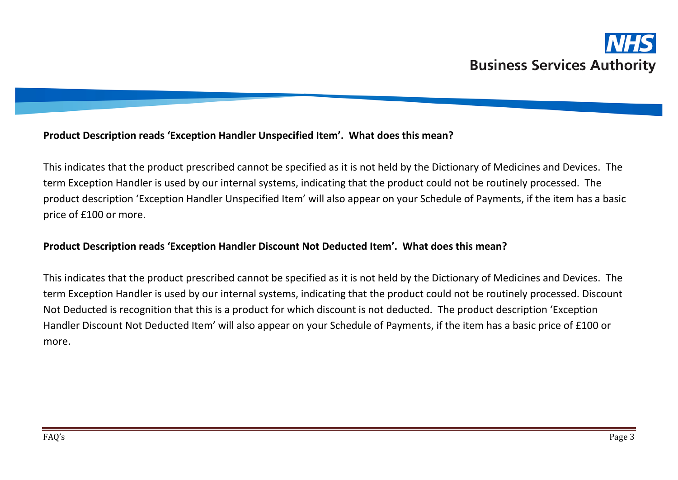## **Product Description reads 'Exception Handler Unspecified Item'. What does this mean?**

This indicates that the product prescribed cannot be specified as it is not held by the Dictionary of Medicines and Devices. The term Exception Handler is used by our internal systems, indicating that the product could not be routinely processed. The product description 'Exception Handler Unspecified Item' will also appear on your Schedule of Payments, if the item has a basic price of £100 or more.

# **Product Description reads 'Exception Handler Discount Not Deducted Item'. What does this mean?**

This indicates that the product prescribed cannot be specified as it is not held by the Dictionary of Medicines and Devices. The term Exception Handler is used by our internal systems, indicating that the product could not be routinely processed. Discount Not Deducted is recognition that this is a product for which discount is not deducted. The product description 'Exception Handler Discount Not Deducted Item' will also appear on your Schedule of Payments, if the item has a basic price of £100 or more.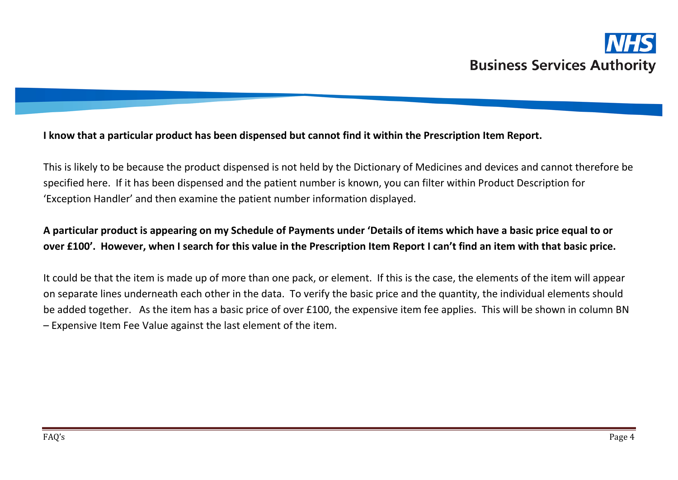#### **I know that a particular product has been dispensed but cannot find it within the Prescription Item Report.**

This is likely to be because the product dispensed is not held by the Dictionary of Medicines and devices and cannot therefore be specified here. If it has been dispensed and the patient number is known, you can filter within Product Description for 'Exception Handler' and then examine the patient number information displayed.

# **A particular product is appearing on my Schedule of Payments under 'Details of items which have a basic price equal to or over £100'. However, when I search for this value in the Prescription Item Report I can't find an item with that basic price.**

It could be that the item is made up of more than one pack, or element. If this is the case, the elements of the item will appear on separate lines underneath each other in the data. To verify the basic price and the quantity, the individual elements should be added together. As the item has a basic price of over £100, the expensive item fee applies. This will be shown in column BN – Expensive Item Fee Value against the last element of the item.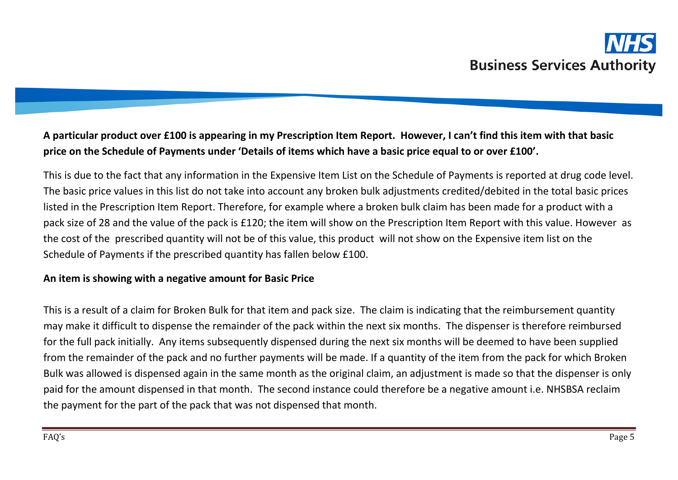# **A particular product over £100 is appearing in my Prescription Item Report. However, I can't find this item with that basic price on the Schedule of Payments under 'Details of items which have a basic price equal to or over £100'.**

This is due to the fact that any information in the Expensive Item List on the Schedule of Payments is reported at drug code level. The basic price values in this list do not take into account any broken bulk adjustments credited/debited in the total basic prices listed in the Prescription Item Report. Therefore, for example where a broken bulk claim has been made for a product with a pack size of 28 and the value of the pack is £120; the item will show on the Prescription Item Report with this value. However as the cost of the prescribed quantity will not be of this value, this product will not show on the Expensive item list on the Schedule of Payments if the prescribed quantity has fallen below £100.

#### **An item is showing with a negative amount for Basic Price**

This is a result of a claim for Broken Bulk for that item and pack size. The claim is indicating that the reimbursement quantity may make it difficult to dispense the remainder of the pack within the next six months. The dispenser is therefore reimbursed for the full pack initially. Any items subsequently dispensed during the next six months will be deemed to have been supplied from the remainder of the pack and no further payments will be made. If a quantity of the item from the pack for which Broken Bulk was allowed is dispensed again in the same month as the original claim, an adjustment is made so that the dispenser is only paid for the amount dispensed in that month. The second instance could therefore be a negative amount i.e. NHSBSA reclaim the payment for the part of the pack that was not dispensed that month.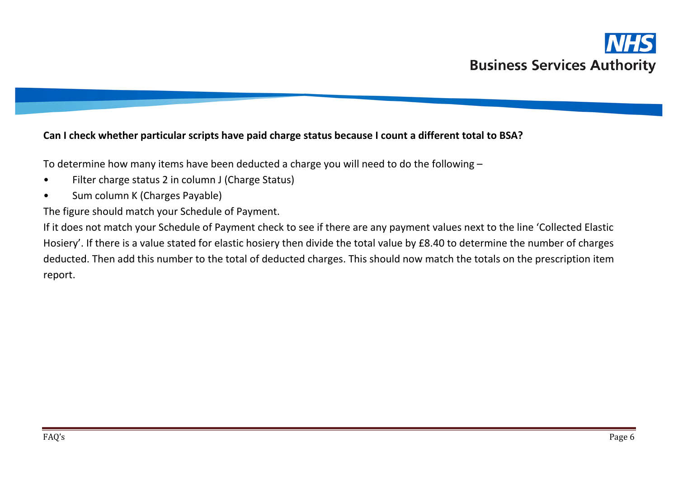# **Can I check whether particular scripts have paid charge status because I count a different total to BSA?**

To determine how many items have been deducted a charge you will need to do the following –

- Filter charge status 2 in column J (Charge Status)
- Sum column K (Charges Payable)

The figure should match your Schedule of Payment.

If it does not match your Schedule of Payment check to see if there are any payment values next to the line 'Collected Elastic Hosiery'. If there is a value stated for elastic hosiery then divide the total value by £8.40 to determine the number of charges deducted. Then add this number to the total of deducted charges. This should now match the totals on the prescription item report.